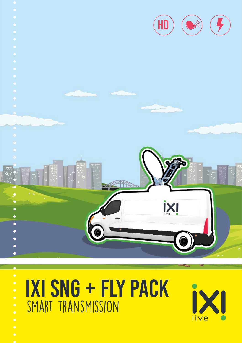





- 
- 
-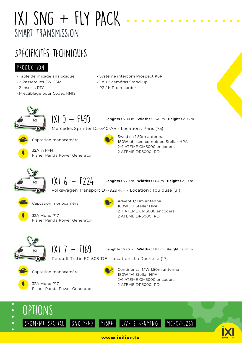# IXI  $SNG + FLY$  PACK smart transmission

## SPécificités techniques

### PRODUCTION

- Table de mixage analogique
- 2 Passerelles 2W GSM
- 2 Inserts RTC
- Précâblage pour Codec RNIS

32ATri P+N

- Système intercom Prospect K6R
- 1 ou 2 caméras Stand-up
- P2 / KiPro recorder



 $IXI 5 - F495$ 

**Lenghts :** 5.80 m **Widths :** 2.40 m **Height :** 2.95 m

Mercedes Sprinter DJ-340-AB - Location : Paris (75)



Captation monocaméra

Fisher Panda Power Generator



Swedish 1,50m antenna 180W phased combined Stellar HPA 2+1 ATEME CM5000 encoders 2 ATEME DR5000 IRD



 $1X16 - 5224$ 

**Lenghts :** 5.70 m **Widths :** 1.84 m **Height :** 2.50 m

Volkswagen Transport DF-929-KH - Location : Toulouse (31)



Captation monocaméra



Advent 1,50m antenna 180W 1+1 Stellar HPA 2+1 ATEME CM5000 encoders 2 ATEME DR5000 IRD



 $1X17 - F169$ 



**Lenghts :** 5.20 m **Widths :** 1.85 m **Height :** 2.50 m

Renault Trafic FC-503-DE - Location : La Rochelle (17)



32A Mono P17 Fisher Panda Power Generator

Captation monocaméra



Continental MW 1,50m antenna 180W 1+1 Stellar HPA 2+1 ATEME CM5000 encoders 2 ATEME DR5000 IRD



#### **www.ixilive.tv**